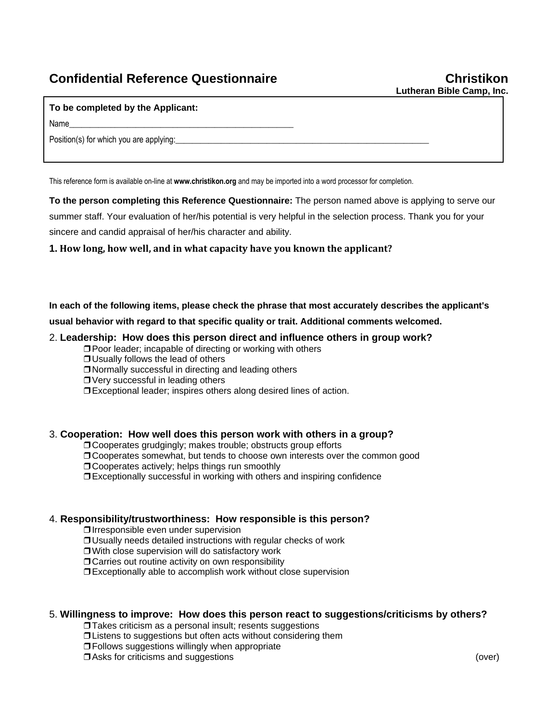# **Confidential Reference Questionnaire Christikon**

#### **To be completed by the Applicant:**

Name\_\_\_\_\_\_\_\_\_\_\_\_\_\_\_\_\_\_\_\_\_\_\_\_\_\_\_\_\_\_\_\_\_\_\_\_\_\_\_\_\_\_\_\_\_\_\_\_\_\_\_\_\_\_

Position(s) for which you are applying:

This reference form is available on-line at **www.christikon.org** and may be imported into a word processor for completion.

**To the person completing this Reference Questionnaire:** The person named above is applying to serve our summer staff. Your evaluation of her/his potential is very helpful in the selection process. Thank you for your sincere and candid appraisal of her/his character and ability.

## **1. How long, how well, and in what capacity have you known the applicant?**

**In each of the following items, please check the phrase that most accurately describes the applicant's** 

**usual behavior with regard to that specific quality or trait. Additional comments welcomed.**

## 2. **Leadership: How does this person direct and influence others in group work?**

❒ Poor leader; incapable of directing or working with others

- ❒ Usually follows the lead of others
- ❒ Normally successful in directing and leading others
- ❒ Very successful in leading others
- ❒ Exceptional leader; inspires others along desired lines of action.

## 3. **Cooperation: How well does this person work with others in a group?**

- ❒ Cooperates grudgingly; makes trouble; obstructs group efforts
- ❒ Cooperates somewhat, but tends to choose own interests over the common good
- ❒ Cooperates actively; helps things run smoothly
- ❒ Exceptionally successful in working with others and inspiring confidence

## 4. **Responsibility/trustworthiness: How responsible is this person?**

❒ Irresponsible even under supervision

❒ Usually needs detailed instructions with regular checks of work

❒ With close supervision will do satisfactory work

❒ Carries out routine activity on own responsibility

❒ Exceptionally able to accomplish work without close supervision

## 5. **Willingness to improve: How does this person react to suggestions/criticisms by others?**

❒ Takes criticism as a personal insult; resents suggestions

❒ Listens to suggestions but often acts without considering them

❒ Follows suggestions willingly when appropriate

❒ Asks for criticisms and suggestions (over)